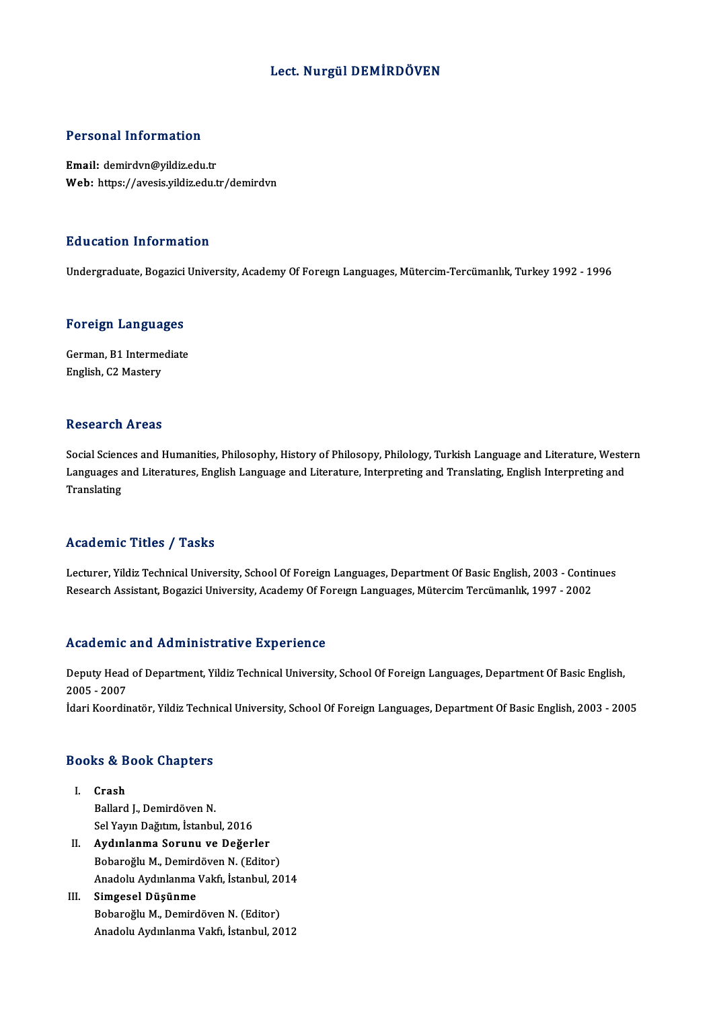## Lect. Nurgül DEMİRDÖVEN

### Personal Information

Email: demirdvn@yildiz.edu.tr Web: https://avesis.yildiz.edu.tr/demirdvn

#### Education Information

Undergraduate, Bogazici University, Academy Of Foreign Languages, Mütercim-Tercümanlık, Turkey 1992 - 1996

# <sub>ondergraduate, bogazici<br>Foreign Languages</sub>

Foreign Languages<br>German, B1 Intermediate<br>English C2 Mestery German, B1 Intermediate<br>English, C2 Mastery

### **Research Areas**

Research Areas<br>Social Sciences and Humanities, Philosophy, History of Philosopy, Philology, Turkish Language and Literature, Western<br>Languages and Literatures, English Language and Literature, Interpreting and Translating, Resear en Trieus<br>Social Sciences and Humanities, Philosophy, History of Philosopy, Philology, Turkish Language and Literature, Weste<br>Languages and Literatures, English Language and Literature, Interpreting and Translating, Languages and Literatures, English Language and Literature, Interpreting and Translating, English Interpreting and<br>Translating

#### Academic Titles / Tasks

Academic Titles / Tasks<br>Lecturer, Yildiz Technical University, School Of Foreign Languages, Department Of Basic English, 2003 - Continues<br>Research Assistant, Begazisi University, Asademy Of Foreyan Languages, Mütersim Ters rredd emre "Prese" / "Pdens"<br>Lecturer, Yildiz Technical University, School Of Foreign Languages, Department Of Basic English, 2003 - Contii<br>Research Assistant, Bogazici University, Academy Of Foreıgn Languages, Mütercim Te Research Assistant, Bogazici University, Academy Of Foreign Languages, Mütercim Tercümanlık, 1997 - 2002<br>Academic and Administrative Experience

Academic and Administrative Experience<br>Deputy Head of Department, Yildiz Technical University, School Of Foreign Languages, Department Of Basic English,<br>2005 - 2007 2006<br>2005 - 2007<br>2005 - 2007 2005 - 2007<br>İdari Koordinatör, Yildiz Technical University, School Of Foreign Languages, Department Of Basic English, 2003 - 2005

# nuari Koorumator, rituz Tecnn<br>Books & Book Chapters

- ooks & B<br>I. Crash<br>Pollard Crash<br>Ballard J., Demirdöven N. Sel Yayın Dağıtım, İstanbul, 2016
- II. Aydınlanma Sorunu ve Değerler Bobaroğlu M., Demirdöven N. (Editor) Aydınlanma Sorunu ve Değerler<br>Bobaroğlu M., Demirdöven N. (Editor)<br>Anadolu Aydınlanma Vakfı, İstanbul, 2014<br>Simaseel Düşünme
- III. Simgesel Düşünme<br>Bobaroğlu M., Demirdöven N. (Editor) Anadolu Aydınlanma Vakfı, İstanbul, 20<br>Simgesel Düşünme<br>Bobaroğlu M., Demirdöven N. (Editor)<br>Anadolu Avdınlanma Vakfı, İstanbul, 20 Anadolu Aydınlanma Vakfı, İstanbul, 2012